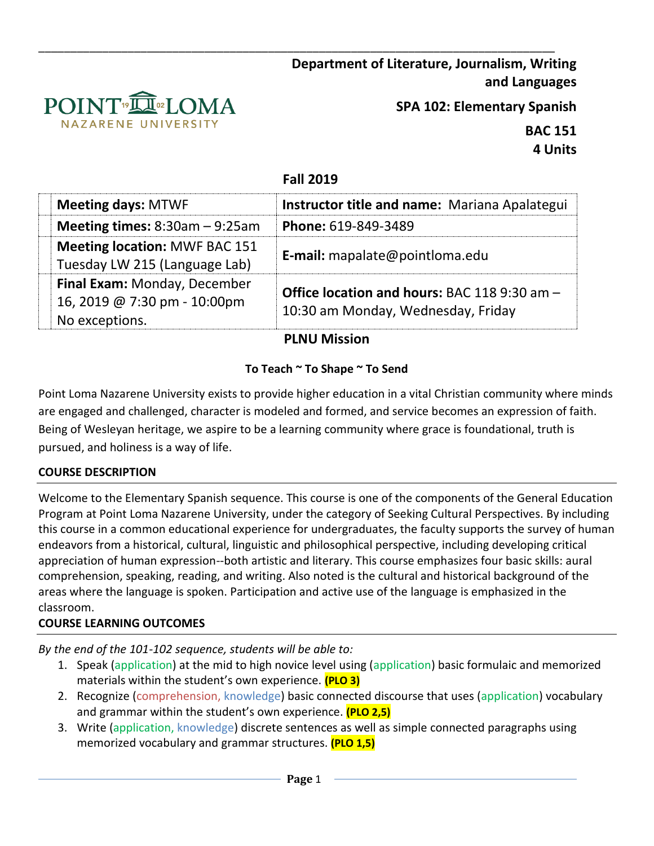

**SPA 102: Elementary Spanish**

**BAC 151 4 Units**

# **Fall 2019**

\_\_\_\_\_\_\_\_\_\_\_\_\_\_\_\_\_\_\_\_\_\_\_\_\_\_\_\_\_\_\_\_\_\_\_\_\_\_\_\_\_\_\_\_\_\_\_\_\_\_\_\_\_\_\_\_\_\_\_\_\_\_\_\_\_\_\_\_\_\_\_\_\_\_\_\_\_\_\_\_\_

| <b>Meeting days: MTWF</b>                                                      | Instructor title and name: Mariana Apalategui                                             |
|--------------------------------------------------------------------------------|-------------------------------------------------------------------------------------------|
| Meeting times: $8:30am - 9:25am$                                               | Phone: 619-849-3489                                                                       |
| <b>Meeting location: MWF BAC 151</b><br>Tuesday LW 215 (Language Lab)          | E-mail: mapalate@pointloma.edu                                                            |
| Final Exam: Monday, December<br>16, 2019 @ 7:30 pm - 10:00pm<br>No exceptions. | <b>Office location and hours: BAC 118 9:30 am -</b><br>10:30 am Monday, Wednesday, Friday |

# **PLNU Mission**

# **To Teach ~ To Shape ~ To Send**

Point Loma Nazarene University exists to provide higher education in a vital Christian community where minds are engaged and challenged, character is modeled and formed, and service becomes an expression of faith. Being of Wesleyan heritage, we aspire to be a learning community where grace is foundational, truth is pursued, and holiness is a way of life.

## **COURSE DESCRIPTION**

Welcome to the Elementary Spanish sequence. This course is one of the components of the General Education Program at Point Loma Nazarene University, under the category of Seeking Cultural Perspectives. By including this course in a common educational experience for undergraduates, the faculty supports the survey of human endeavors from a historical, cultural, linguistic and philosophical perspective, including developing critical appreciation of human expression--both artistic and literary. This course emphasizes four basic skills: aural comprehension, speaking, reading, and writing. Also noted is the cultural and historical background of the areas where the language is spoken. Participation and active use of the language is emphasized in the classroom.

## **COURSE LEARNING OUTCOMES**

*By the end of the 101-102 sequence, students will be able to:*

- 1. Speak (application) at the mid to high novice level using (application) basic formulaic and memorized materials within the student's own experience. **(PLO 3)**
- 2. Recognize (comprehension, knowledge) basic connected discourse that uses (application) vocabulary and grammar within the student's own experience. **(PLO 2,5)**
- 3. Write (application, knowledge) discrete sentences as well as simple connected paragraphs using memorized vocabulary and grammar structures. **(PLO 1,5)**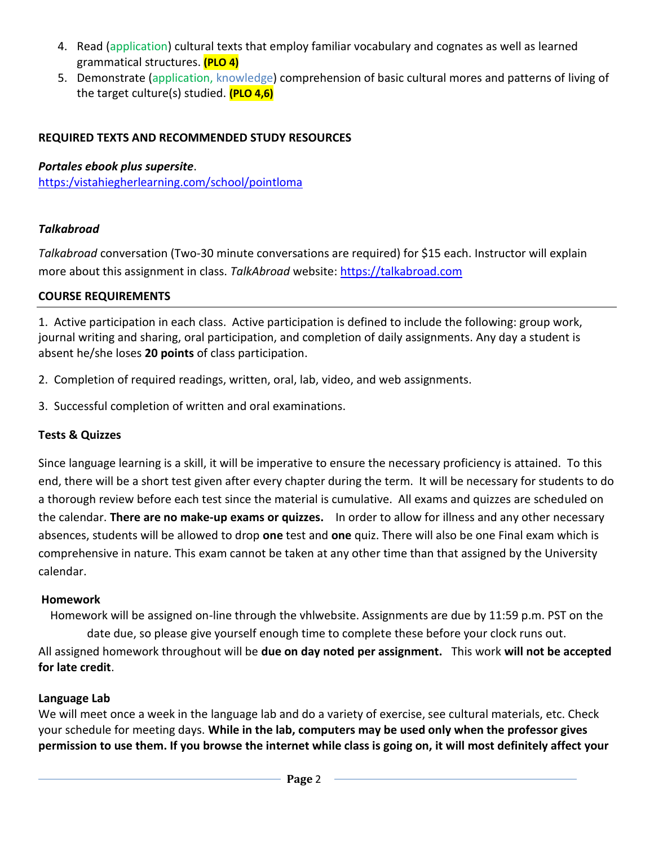- 4. Read (application) cultural texts that employ familiar vocabulary and cognates as well as learned grammatical structures. **(PLO 4)**
- 5. Demonstrate (application, knowledge) comprehension of basic cultural mores and patterns of living of the target culture(s) studied. **(PLO 4,6)**

## **REQUIRED TEXTS AND RECOMMENDED STUDY RESOURCES**

#### *Portales ebook plus supersite*.

[https:/vistahiegherlearning.com/school/pointloma](https://vistahiegherlearning.com/school/pointloma)

## *Talkabroad*

*Talkabroad* conversation (Two-30 minute conversations are required) for \$15 each. Instructor will explain more about this assignment in class. *TalkAbroad* website: [https://talkabroad.com](https://talkabroad.com/)

## **COURSE REQUIREMENTS**

1. Active participation in each class. Active participation is defined to include the following: group work, journal writing and sharing, oral participation, and completion of daily assignments. Any day a student is absent he/she loses **20 points** of class participation.

- 2. Completion of required readings, written, oral, lab, video, and web assignments.
- 3. Successful completion of written and oral examinations.

## **Tests & Quizzes**

Since language learning is a skill, it will be imperative to ensure the necessary proficiency is attained. To this end, there will be a short test given after every chapter during the term. It will be necessary for students to do a thorough review before each test since the material is cumulative. All exams and quizzes are scheduled on the calendar. **There are no make-up exams or quizzes.** In order to allow for illness and any other necessary absences, students will be allowed to drop **one** test and **one** quiz. There will also be one Final exam which is comprehensive in nature. This exam cannot be taken at any other time than that assigned by the University calendar.

#### **Homework**

Homework will be assigned on-line through the vhlwebsite. Assignments are due by 11:59 p.m. PST on the date due, so please give yourself enough time to complete these before your clock runs out. All assigned homework throughout will be **due on day noted per assignment.** This work **will not be accepted for late credit**.

## **Language Lab**

We will meet once a week in the language lab and do a variety of exercise, see cultural materials, etc. Check your schedule for meeting days. **While in the lab, computers may be used only when the professor gives permission to use them. If you browse the internet while class is going on, it will most definitely affect your**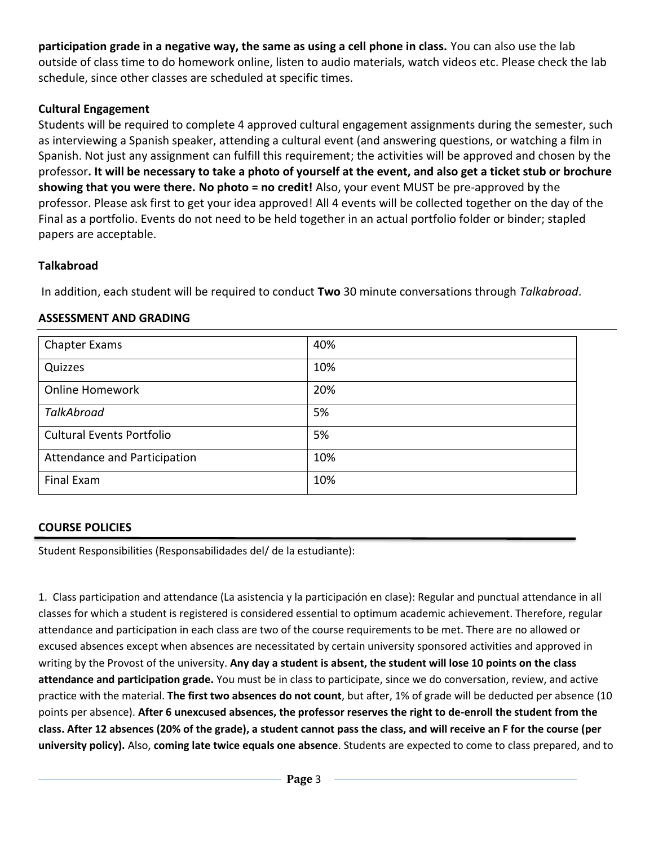**participation grade in a negative way, the same as using a cell phone in class.** You can also use the lab outside of class time to do homework online, listen to audio materials, watch videos etc. Please check the lab schedule, since other classes are scheduled at specific times.

### **Cultural Engagement**

Students will be required to complete 4 approved cultural engagement assignments during the semester, such as interviewing a Spanish speaker, attending a cultural event (and answering questions, or watching a film in Spanish. Not just any assignment can fulfill this requirement; the activities will be approved and chosen by the professor**. It will be necessary to take a photo of yourself at the event, and also get a ticket stub or brochure showing that you were there. No photo = no credit!** Also, your event MUST be pre-approved by the professor. Please ask first to get your idea approved! All 4 events will be collected together on the day of the Final as a portfolio. Events do not need to be held together in an actual portfolio folder or binder; stapled papers are acceptable.

## **Talkabroad**

In addition, each student will be required to conduct **Two** 30 minute conversations through *Talkabroad*.

#### **ASSESSMENT AND GRADING**

| <b>Chapter Exams</b>             | 40% |
|----------------------------------|-----|
| Quizzes                          | 10% |
| <b>Online Homework</b>           | 20% |
| TalkAbroad                       | 5%  |
| <b>Cultural Events Portfolio</b> | 5%  |
| Attendance and Participation     | 10% |
| Final Exam                       | 10% |

#### **COURSE POLICIES**

Student Responsibilities (Responsabilidades del/ de la estudiante):

1. Class participation and attendance (La asistencia y la participación en clase): Regular and punctual attendance in all classes for which a student is registered is considered essential to optimum academic achievement. Therefore, regular attendance and participation in each class are two of the course requirements to be met. There are no allowed or excused absences except when absences are necessitated by certain university sponsored activities and approved in writing by the Provost of the university. **Any day a student is absent, the student will lose 10 points on the class attendance and participation grade.** You must be in class to participate, since we do conversation, review, and active practice with the material. **The first two absences do not count**, but after, 1% of grade will be deducted per absence (10 points per absence). **After 6 unexcused absences, the professor reserves the right to de-enroll the student from the class. After 12 absences (20% of the grade), a student cannot pass the class, and will receive an F for the course (per university policy).** Also, **coming late twice equals one absence**. Students are expected to come to class prepared, and to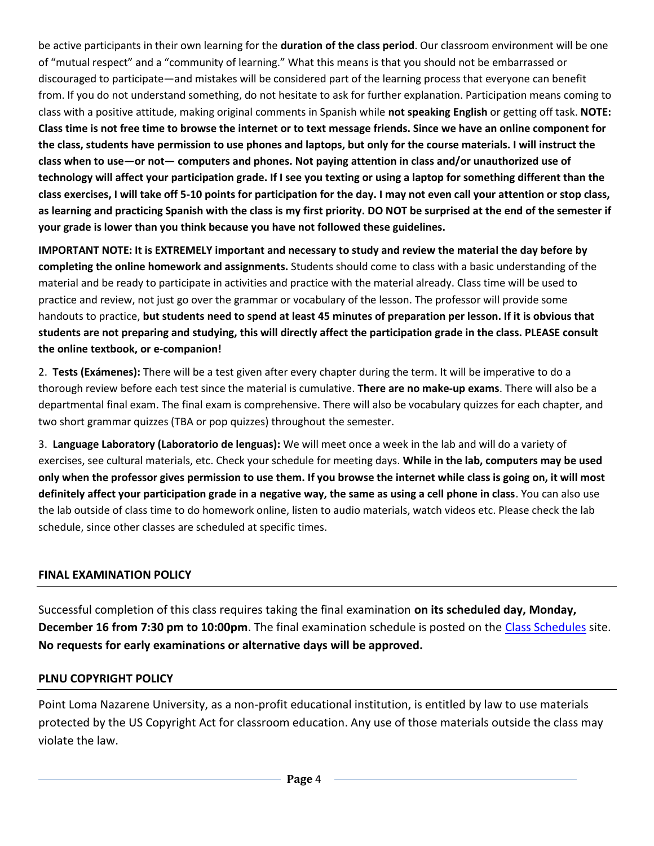be active participants in their own learning for the **duration of the class period**. Our classroom environment will be one of "mutual respect" and a "community of learning." What this means is that you should not be embarrassed or discouraged to participate—and mistakes will be considered part of the learning process that everyone can benefit from. If you do not understand something, do not hesitate to ask for further explanation. Participation means coming to class with a positive attitude, making original comments in Spanish while **not speaking English** or getting off task. **NOTE: Class time is not free time to browse the internet or to text message friends. Since we have an online component for the class, students have permission to use phones and laptops, but only for the course materials. I will instruct the class when to use—or not— computers and phones. Not paying attention in class and/or unauthorized use of technology will affect your participation grade. If I see you texting or using a laptop for something different than the class exercises, I will take off 5-10 points for participation for the day. I may not even call your attention or stop class, as learning and practicing Spanish with the class is my first priority. DO NOT be surprised at the end of the semester if your grade is lower than you think because you have not followed these guidelines.**

**IMPORTANT NOTE: It is EXTREMELY important and necessary to study and review the material the day before by completing the online homework and assignments.** Students should come to class with a basic understanding of the material and be ready to participate in activities and practice with the material already. Class time will be used to practice and review, not just go over the grammar or vocabulary of the lesson. The professor will provide some handouts to practice, **but students need to spend at least 45 minutes of preparation per lesson. If it is obvious that students are not preparing and studying, this will directly affect the participation grade in the class. PLEASE consult the online textbook, or e-companion!**

2. **Tests (Exámenes):** There will be a test given after every chapter during the term. It will be imperative to do a thorough review before each test since the material is cumulative. **There are no make-up exams**. There will also be a departmental final exam. The final exam is comprehensive. There will also be vocabulary quizzes for each chapter, and two short grammar quizzes (TBA or pop quizzes) throughout the semester.

3. **Language Laboratory (Laboratorio de lenguas):** We will meet once a week in the lab and will do a variety of exercises, see cultural materials, etc. Check your schedule for meeting days. **While in the lab, computers may be used only when the professor gives permission to use them. If you browse the internet while class is going on, it will most definitely affect your participation grade in a negative way, the same as using a cell phone in class**. You can also use the lab outside of class time to do homework online, listen to audio materials, watch videos etc. Please check the lab schedule, since other classes are scheduled at specific times.

#### **FINAL EXAMINATION POLICY**

Successful completion of this class requires taking the final examination **on its scheduled day, Monday, December 16 from 7:30 pm to 10:00pm**. The final examination schedule is posted on the [Class Schedules](http://www.pointloma.edu/experience/academics/class-schedules) site. **No requests for early examinations or alternative days will be approved.**

#### **PLNU COPYRIGHT POLICY**

Point Loma Nazarene University, as a non-profit educational institution, is entitled by law to use materials protected by the US Copyright Act for classroom education. Any use of those materials outside the class may violate the law.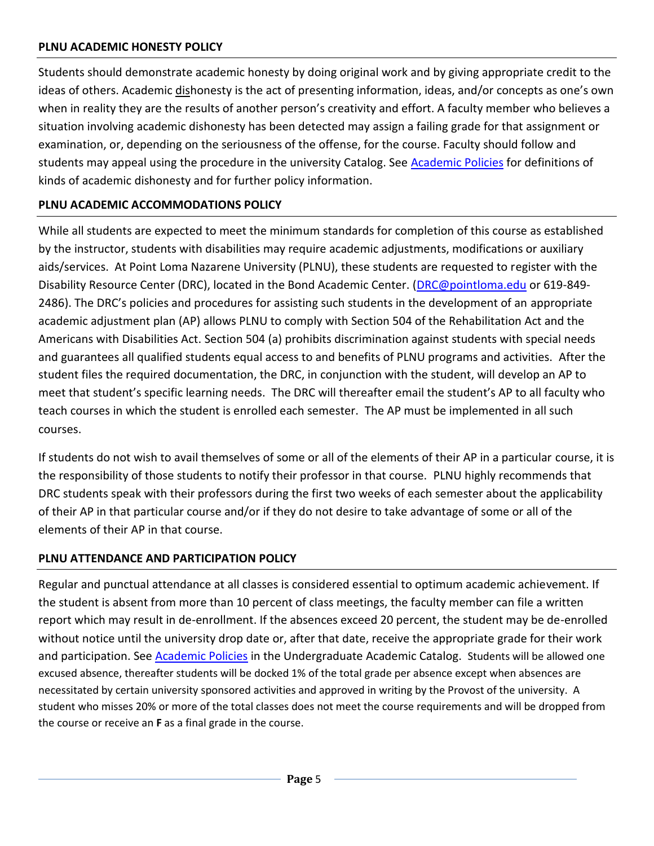### **PLNU ACADEMIC HONESTY POLICY**

Students should demonstrate academic honesty by doing original work and by giving appropriate credit to the ideas of others. Academic dishonesty is the act of presenting information, ideas, and/or concepts as one's own when in reality they are the results of another person's creativity and effort. A faculty member who believes a situation involving academic dishonesty has been detected may assign a failing grade for that assignment or examination, or, depending on the seriousness of the offense, for the course. Faculty should follow and students may appeal using the procedure in the university Catalog. See [Academic Policies](http://catalog.pointloma.edu/content.php?catoid=18&navoid=1278) for definitions of kinds of academic dishonesty and for further policy information.

## **PLNU ACADEMIC ACCOMMODATIONS POLICY**

While all students are expected to meet the minimum standards for completion of this course as established by the instructor, students with disabilities may require academic adjustments, modifications or auxiliary aids/services. At Point Loma Nazarene University (PLNU), these students are requested to register with the Disability Resource Center (DRC), located in the Bond Academic Center. [\(DRC@pointloma.edu](mailto:DRC@pointloma.edu) or 619-849- 2486). The DRC's policies and procedures for assisting such students in the development of an appropriate academic adjustment plan (AP) allows PLNU to comply with Section 504 of the Rehabilitation Act and the Americans with Disabilities Act. Section 504 (a) prohibits discrimination against students with special needs and guarantees all qualified students equal access to and benefits of PLNU programs and activities. After the student files the required documentation, the DRC, in conjunction with the student, will develop an AP to meet that student's specific learning needs. The DRC will thereafter email the student's AP to all faculty who teach courses in which the student is enrolled each semester. The AP must be implemented in all such courses.

If students do not wish to avail themselves of some or all of the elements of their AP in a particular course, it is the responsibility of those students to notify their professor in that course. PLNU highly recommends that DRC students speak with their professors during the first two weeks of each semester about the applicability of their AP in that particular course and/or if they do not desire to take advantage of some or all of the elements of their AP in that course.

#### **PLNU ATTENDANCE AND PARTICIPATION POLICY**

Regular and punctual attendance at all classes is considered essential to optimum academic achievement. If the student is absent from more than 10 percent of class meetings, the faculty member can file a written report which may result in de-enrollment. If the absences exceed 20 percent, the student may be de-enrolled without notice until the university drop date or, after that date, receive the appropriate grade for their work and participation. See [Academic Policies](http://catalog.pointloma.edu/content.php?catoid=18&navoid=1278) in the Undergraduate Academic Catalog. Students will be allowed one excused absence, thereafter students will be docked 1% of the total grade per absence except when absences are necessitated by certain university sponsored activities and approved in writing by the Provost of the university. A student who misses 20% or more of the total classes does not meet the course requirements and will be dropped from the course or receive an **F** as a final grade in the course.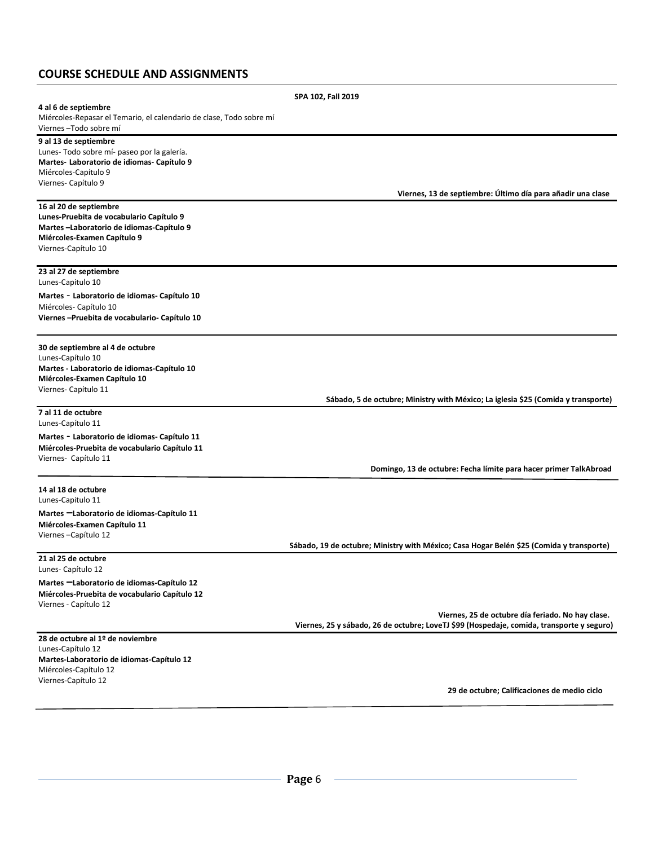## **COURSE SCHEDULE AND ASSIGNMENTS**

|                                                                                                | SPA 102, Fall 2019                                                                                                                             |
|------------------------------------------------------------------------------------------------|------------------------------------------------------------------------------------------------------------------------------------------------|
| 4 al 6 de septiembre                                                                           |                                                                                                                                                |
| Miércoles-Repasar el Temario, el calendario de clase, Todo sobre mí<br>Viernes - Todo sobre mí |                                                                                                                                                |
| 9 al 13 de septiembre                                                                          |                                                                                                                                                |
| Lunes-Todo sobre mí- paseo por la galería.                                                     |                                                                                                                                                |
| Martes- Laboratorio de idiomas- Capítulo 9<br>Miércoles-Capítulo 9                             |                                                                                                                                                |
| Viernes- Capítulo 9                                                                            |                                                                                                                                                |
|                                                                                                | Viernes, 13 de septiembre: Último día para añadir una clase                                                                                    |
| 16 al 20 de septiembre                                                                         |                                                                                                                                                |
| Lunes-Pruebita de vocabulario Capítulo 9<br>Martes-Laboratorio de idiomas-Capítulo 9           |                                                                                                                                                |
| Miércoles-Examen Capítulo 9                                                                    |                                                                                                                                                |
| Viernes-Capítulo 10                                                                            |                                                                                                                                                |
| 23 al 27 de septiembre                                                                         |                                                                                                                                                |
| Lunes-Capitulo 10                                                                              |                                                                                                                                                |
| Martes - Laboratorio de idiomas- Capítulo 10                                                   |                                                                                                                                                |
| Miércoles-Capítulo 10<br>Viernes - Pruebita de vocabulario - Capítulo 10                       |                                                                                                                                                |
|                                                                                                |                                                                                                                                                |
| 30 de septiembre al 4 de octubre<br>Lunes-Capítulo 10                                          |                                                                                                                                                |
| Martes - Laboratorio de idiomas-Capítulo 10                                                    |                                                                                                                                                |
| Miércoles-Examen Capítulo 10                                                                   |                                                                                                                                                |
| Viernes- Capítulo 11                                                                           | Sábado, 5 de octubre; Ministry with México; La iglesia \$25 (Comida y transporte)                                                              |
| 7 al 11 de octubre<br>Lunes-Capítulo 11                                                        |                                                                                                                                                |
| Martes - Laboratorio de idiomas- Capítulo 11                                                   |                                                                                                                                                |
| Miércoles-Pruebita de vocabulario Capítulo 11                                                  |                                                                                                                                                |
| Viernes- Capítulo 11                                                                           | Domingo, 13 de octubre: Fecha límite para hacer primer TalkAbroad                                                                              |
| 14 al 18 de octubre                                                                            |                                                                                                                                                |
| Lunes-Capitulo 11                                                                              |                                                                                                                                                |
| Martes -Laboratorio de idiomas-Capítulo 11                                                     |                                                                                                                                                |
| Miércoles-Examen Capítulo 11<br>Viernes-Capítulo 12                                            |                                                                                                                                                |
|                                                                                                | Sábado, 19 de octubre; Ministry with México; Casa Hogar Belén \$25 (Comida y transporte)                                                       |
| 21 al 25 de octubre<br>Lunes- Capítulo 12                                                      |                                                                                                                                                |
| Martes -Laboratorio de idiomas-Capítulo 12                                                     |                                                                                                                                                |
| Miércoles-Pruebita de vocabulario Capítulo 12                                                  |                                                                                                                                                |
| Viernes - Capítulo 12                                                                          |                                                                                                                                                |
|                                                                                                | Viernes, 25 de octubre día feriado. No hay clase.<br>Viernes, 25 y sábado, 26 de octubre; LoveTJ \$99 (Hospedaje, comida, transporte y seguro) |
| 28 de octubre al 1º de noviembre                                                               |                                                                                                                                                |
| Lunes-Capítulo 12                                                                              |                                                                                                                                                |
| Martes-Laboratorio de idiomas-Capítulo 12                                                      |                                                                                                                                                |
| Miércoles-Capítulo 12<br>Viernes-Capítulo 12                                                   |                                                                                                                                                |
|                                                                                                | 29 de octubre; Calificaciones de medio ciclo                                                                                                   |
|                                                                                                |                                                                                                                                                |